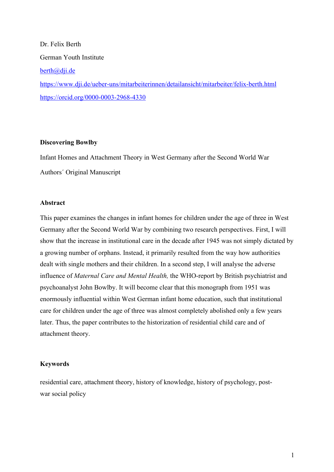Dr. Felix Berth German Youth Institute berth@dji.de https://www.dji.de/ueber-uns/mitarbeiterinnen/detailansicht/mitarbeiter/felix-berth.html https://orcid.org/0000-0003-2968-4330

## **Discovering Bowlby**

Infant Homes and Attachment Theory in West Germany after the Second World War Authors´ Original Manuscript

# **Abstract**

This paper examines the changes in infant homes for children under the age of three in West Germany after the Second World War by combining two research perspectives. First, I will show that the increase in institutional care in the decade after 1945 was not simply dictated by a growing number of orphans. Instead, it primarily resulted from the way how authorities dealt with single mothers and their children. In a second step, I will analyse the adverse influence of *Maternal Care and Mental Health,* the WHO-report by British psychiatrist and psychoanalyst John Bowlby. It will become clear that this monograph from 1951 was enormously influential within West German infant home education, such that institutional care for children under the age of three was almost completely abolished only a few years later. Thus, the paper contributes to the historization of residential child care and of attachment theory.

# **Keywords**

residential care, attachment theory, history of knowledge, history of psychology, postwar social policy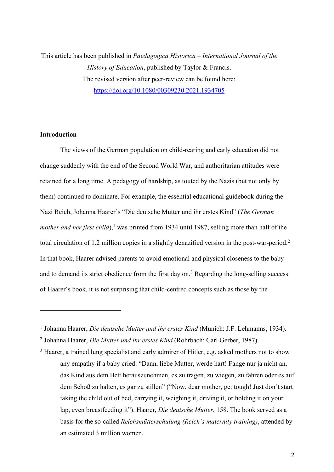This article has been published in *Paedagogica Historica – International Journal of the History of Education*, published by Taylor & Francis. The revised version after peer-review can be found here: https://doi.org/10.1080/00309230.2021.1934705

# **Introduction**

The views of the German population on child-rearing and early education did not change suddenly with the end of the Second World War, and authoritarian attitudes were retained for a long time. A pedagogy of hardship, as touted by the Nazis (but not only by them) continued to dominate. For example, the essential educational guidebook during the Nazi Reich, Johanna Haarer`s "Die deutsche Mutter und ihr erstes Kind" (*The German*  mother and her first child),<sup>1</sup> was printed from 1934 until 1987, selling more than half of the total circulation of 1.2 million copies in a slightly denazified version in the post-war-period.<sup>2</sup> In that book, Haarer advised parents to avoid emotional and physical closeness to the baby and to demand its strict obedience from the first day on.<sup>3</sup> Regarding the long-selling success of Haarer´s book, it is not surprising that child-centred concepts such as those by the

<sup>1</sup> Johanna Haarer, *Die deutsche Mutter und ihr erstes Kind* (Munich: J.F. Lehmanns, 1934).

<sup>2</sup> Johanna Haarer, *Die Mutter und ihr erstes Kind* (Rohrbach: Carl Gerber, 1987).

<sup>&</sup>lt;sup>3</sup> Haarer, a trained lung specialist and early admirer of Hitler, e.g. asked mothers not to show any empathy if a baby cried: "Dann, liebe Mutter, werde hart! Fange nur ja nicht an, das Kind aus dem Bett herauszunehmen, es zu tragen, zu wiegen, zu fahren oder es auf dem Schoß zu halten, es gar zu stillen" ("Now, dear mother, get tough! Just don`t start taking the child out of bed, carrying it, weighing it, driving it, or holding it on your lap, even breastfeeding it"). Haarer, *Die deutsche Mutter*, 158. The book served as a basis for the so-called *Reichsmütterschulung (Reich`s maternity training)*, attended by an estimated 3 million women.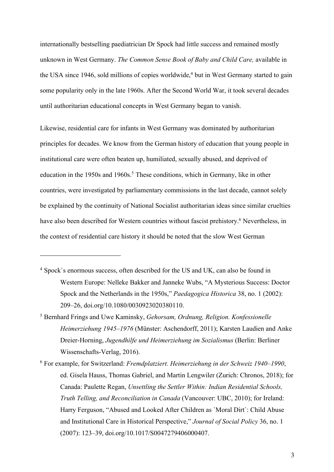internationally bestselling paediatrician Dr Spock had little success and remained mostly unknown in West Germany. *The Common Sense Book of Baby and Child Care,* available in the USA since 1946, sold millions of copies worldwide, <sup>4</sup> but in West Germany started to gain some popularity only in the late 1960s. After the Second World War, it took several decades until authoritarian educational concepts in West Germany began to vanish.

Likewise, residential care for infants in West Germany was dominated by authoritarian principles for decades. We know from the German history of education that young people in institutional care were often beaten up, humiliated, sexually abused, and deprived of education in the 1950s and 1960s. <sup>5</sup> These conditions, which in Germany, like in other countries, were investigated by parliamentary commissions in the last decade, cannot solely be explained by the continuity of National Socialist authoritarian ideas since similar cruelties have also been described for Western countries without fascist prehistory.<sup>6</sup> Nevertheless, in the context of residential care history it should be noted that the slow West German

- <sup>4</sup> Spock`s enormous success, often described for the US and UK, can also be found in Western Europe: Nelleke Bakker and Janneke Wubs, "A Mysterious Success: Doctor Spock and the Netherlands in the 1950s," *Paedagogica Historica* 38, no. 1 (2002): 209–26, doi.org/10.1080/0030923020380110.
- <sup>5</sup> Bernhard Frings and Uwe Kaminsky, *Gehorsam, Ordnung, Religion. Konfessionelle Heimerziehung 1945–1976* (Münster: Aschendorff, 2011); Karsten Laudien and Anke Dreier-Horning, *Jugendhilfe und Heimerziehung im Sozialismus* (Berlin: Berliner Wissenschafts-Verlag, 2016).
- <sup>6</sup> For example, for Switzerland: *Fremdplatziert. Heimerziehung in der Schweiz 1940–1990*, ed. Gisela Hauss, Thomas Gabriel, and Martin Lengwiler (Zurich: Chronos, 2018); for Canada: Paulette Regan, *Unsettling the Settler Within: Indian Residential Schools, Truth Telling, and Reconciliation in Canada* (Vancouver: UBC, 2010); for Ireland: Harry Ferguson, "Abused and Looked After Children as `Moral Dirt`: Child Abuse and Institutional Care in Historical Perspective," *Journal of Social Policy* 36, no. 1 (2007): 123–39, doi.org/10.1017/S0047279406000407.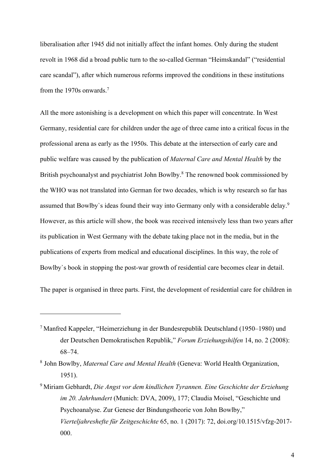liberalisation after 1945 did not initially affect the infant homes. Only during the student revolt in 1968 did a broad public turn to the so-called German "Heimskandal" ("residential care scandal"), after which numerous reforms improved the conditions in these institutions from the 1970s onwards. 7

All the more astonishing is a development on which this paper will concentrate. In West Germany, residential care for children under the age of three came into a critical focus in the professional arena as early as the 1950s. This debate at the intersection of early care and public welfare was caused by the publication of *Maternal Care and Mental Health* by the British psychoanalyst and psychiatrist John Bowlby.<sup>8</sup> The renowned book commissioned by the WHO was not translated into German for two decades, which is why research so far has assumed that Bowlby`s ideas found their way into Germany only with a considerable delay.9 However, as this article will show, the book was received intensively less than two years after its publication in West Germany with the debate taking place not in the media, but in the publications of experts from medical and educational disciplines. In this way, the role of Bowlby`s book in stopping the post-war growth of residential care becomes clear in detail.

The paper is organised in three parts. First, the development of residential care for children in

<sup>7</sup> Manfred Kappeler, "Heimerziehung in der Bundesrepublik Deutschland (1950–1980) und der Deutschen Demokratischen Republik," *Forum Erziehungshilfen* 14, no. 2 (2008): 68–74.

<sup>8</sup> John Bowlby, *Maternal Care and Mental Health* (Geneva: World Health Organization, 1951).

<sup>9</sup> Miriam Gebhardt, *Die Angst vor dem kindlichen Tyrannen. Eine Geschichte der Erziehung im 20. Jahrhundert* (Munich: DVA, 2009), 177; Claudia Moisel, "Geschichte und Psychoanalyse. Zur Genese der Bindungstheorie von John Bowlby," *Vierteljahreshefte für Zeitgeschichte* 65, no. 1 (2017): 72, doi.org/10.1515/vfzg-2017- 000.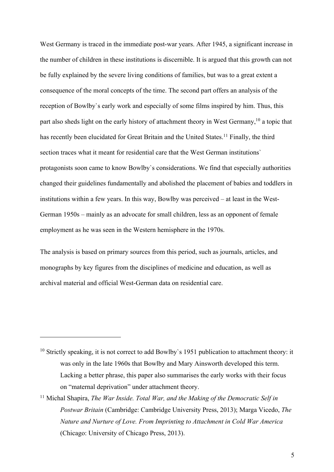West Germany is traced in the immediate post-war years. After 1945, a significant increase in the number of children in these institutions is discernible. It is argued that this growth can not be fully explained by the severe living conditions of families, but was to a great extent a consequence of the moral concepts of the time. The second part offers an analysis of the reception of Bowlby`s early work and especially of some films inspired by him. Thus, this part also sheds light on the early history of attachment theory in West Germany,<sup>10</sup> a topic that has recently been elucidated for Great Britain and the United States.<sup>11</sup> Finally, the third section traces what it meant for residential care that the West German institutions` protagonists soon came to know Bowlby`s considerations. We find that especially authorities changed their guidelines fundamentally and abolished the placement of babies and toddlers in institutions within a few years. In this way, Bowlby was perceived – at least in the West-German 1950s – mainly as an advocate for small children, less as an opponent of female employment as he was seen in the Western hemisphere in the 1970s.

The analysis is based on primary sources from this period, such as journals, articles, and monographs by key figures from the disciplines of medicine and education, as well as archival material and official West-German data on residential care.

 $10$  Strictly speaking, it is not correct to add Bowlby's 1951 publication to attachment theory: it was only in the late 1960s that Bowlby and Mary Ainsworth developed this term. Lacking a better phrase, this paper also summarises the early works with their focus on "maternal deprivation" under attachment theory.

<sup>&</sup>lt;sup>11</sup> Michal Shapira, *The War Inside. Total War, and the Making of the Democratic Self in Postwar Britain* (Cambridge: Cambridge University Press, 2013); Marga Vicedo, *The Nature and Nurture of Love. From Imprinting to Attachment in Cold War America* (Chicago: University of Chicago Press, 2013).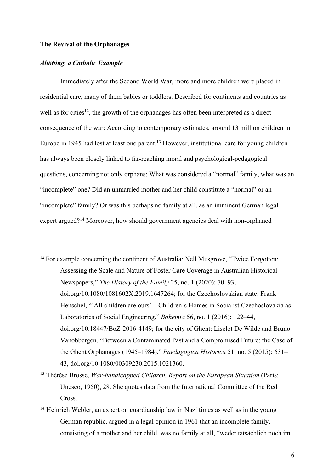### **The Revival of the Orphanages**

### *Altötting, a Catholic Example*

Immediately after the Second World War, more and more children were placed in residential care, many of them babies or toddlers. Described for continents and countries as well as for cities<sup>12</sup>, the growth of the orphanages has often been interpreted as a direct consequence of the war: According to contemporary estimates, around 13 million children in Europe in 1945 had lost at least one parent.<sup>13</sup> However, institutional care for young children has always been closely linked to far-reaching moral and psychological-pedagogical questions, concerning not only orphans: What was considered a "normal" family, what was an "incomplete" one? Did an unmarried mother and her child constitute a "normal" or an "incomplete" family? Or was this perhaps no family at all, as an imminent German legal expert argued?<sup>14</sup> Moreover, how should government agencies deal with non-orphaned

- <sup>12</sup> For example concerning the continent of Australia: Nell Musgrove, "Twice Forgotten: Assessing the Scale and Nature of Foster Care Coverage in Australian Historical Newspapers," *The History of the Family* 25, no. 1 (2020): 70–93, doi.org/10.1080/1081602X.2019.1647264; for the Czechoslovakian state: Frank Henschel, "`All children are ours` – Children`s Homes in Socialist Czechoslovakia as Laboratories of Social Engineering," *Bohemia* 56, no. 1 (2016): 122–44, doi.org/10.18447/BoZ-2016-4149; for the city of Ghent: Liselot De Wilde and Bruno Vanobbergen, "Between a Contaminated Past and a Compromised Future: the Case of the Ghent Orphanages (1945–1984)," *Paedagogica Historica* 51, no. 5 (2015): 631– 43, doi.org/10.1080/00309230.2015.1021360.
- <sup>13</sup> Thérèse Brosse, *War-handicapped Children. Report on the European Situation* (Paris: Unesco, 1950), 28. She quotes data from the International Committee of the Red Cross.
- <sup>14</sup> Heinrich Webler, an expert on guardianship law in Nazi times as well as in the young German republic, argued in a legal opinion in 1961 that an incomplete family, consisting of a mother and her child, was no family at all, "weder tatsächlich noch im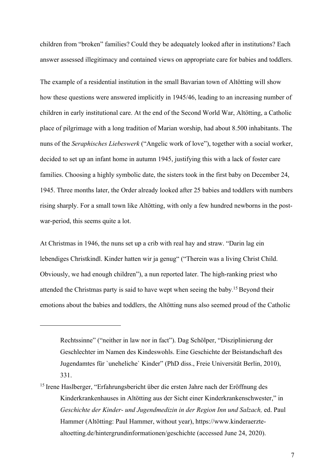children from "broken" families? Could they be adequately looked after in institutions? Each answer assessed illegitimacy and contained views on appropriate care for babies and toddlers.

The example of a residential institution in the small Bavarian town of Altötting will show how these questions were answered implicitly in 1945/46, leading to an increasing number of children in early institutional care. At the end of the Second World War, Altötting, a Catholic place of pilgrimage with a long tradition of Marian worship, had about 8.500 inhabitants. The nuns of the *Seraphisches Liebeswerk* ("Angelic work of love"), together with a social worker, decided to set up an infant home in autumn 1945, justifying this with a lack of foster care families. Choosing a highly symbolic date, the sisters took in the first baby on December 24, 1945. Three months later, the Order already looked after 25 babies and toddlers with numbers rising sharply. For a small town like Altötting, with only a few hundred newborns in the postwar-period, this seems quite a lot.

At Christmas in 1946, the nuns set up a crib with real hay and straw. "Darin lag ein lebendiges Christkindl. Kinder hatten wir ja genug" ("Therein was a living Christ Child. Obviously, we had enough children"), a nun reported later. The high-ranking priest who attended the Christmas party is said to have wept when seeing the baby. <sup>15</sup> Beyond their emotions about the babies and toddlers, the Altötting nuns also seemed proud of the Catholic

Rechtssinne" ("neither in law nor in fact"). Dag Schölper, "Disziplinierung der Geschlechter im Namen des Kindeswohls. Eine Geschichte der Beistandschaft des Jugendamtes für `uneheliche` Kinder" (PhD diss., Freie Universität Berlin, 2010), 331.

<sup>&</sup>lt;sup>15</sup> Irene Haslberger, "Erfahrungsbericht über die ersten Jahre nach der Eröffnung des Kinderkrankenhauses in Altötting aus der Sicht einer Kinderkrankenschwester," in *Geschichte der Kinder- und Jugendmedizin in der Region Inn und Salzach,* ed. Paul Hammer (Altötting: Paul Hammer, without year), https://www.kinderaerztealtoetting.de/hintergrundinformationen/geschichte (accessed June 24, 2020).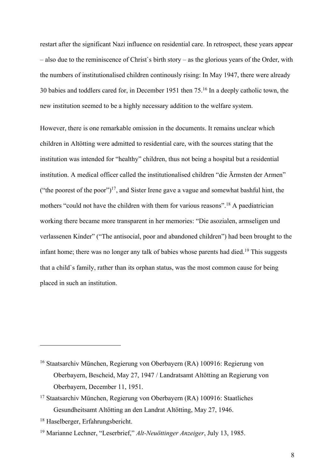restart after the significant Nazi influence on residential care. In retrospect, these years appear – also due to the reminiscence of Christ`s birth story – as the glorious years of the Order, with the numbers of institutionalised children continously rising: In May 1947, there were already 30 babies and toddlers cared for, in December 1951 then 75.<sup>16</sup> In a deeply catholic town, the new institution seemed to be a highly necessary addition to the welfare system.

However, there is one remarkable omission in the documents. It remains unclear which children in Altötting were admitted to residential care, with the sources stating that the institution was intended for "healthy" children, thus not being a hospital but a residential institution. A medical officer called the institutionalised children "die Ärmsten der Armen" ("the poorest of the poor")<sup>17</sup>, and Sister Irene gave a vague and somewhat bashful hint, the mothers "could not have the children with them for various reasons".<sup>18</sup> A paediatrician working there became more transparent in her memories: "Die asozialen, armseligen und verlassenen Kinder" ("The antisocial, poor and abandoned children") had been brought to the infant home; there was no longer any talk of babies whose parents had died.<sup>19</sup> This suggests that a child`s family, rather than its orphan status, was the most common cause for being placed in such an institution.

<sup>&</sup>lt;sup>16</sup> Staatsarchiv München, Regierung von Oberbayern (RA) 100916: Regierung von Oberbayern, Bescheid, May 27, 1947 / Landratsamt Altötting an Regierung von Oberbayern, December 11, 1951.

<sup>17</sup> Staatsarchiv München, Regierung von Oberbayern (RA) 100916: Staatliches Gesundheitsamt Altötting an den Landrat Altötting, May 27, 1946.

<sup>18</sup> Haselberger, Erfahrungsbericht.

<sup>19</sup> Marianne Lechner, "Leserbrief," *Alt-Neuöttinger Anzeiger*, July 13, 1985.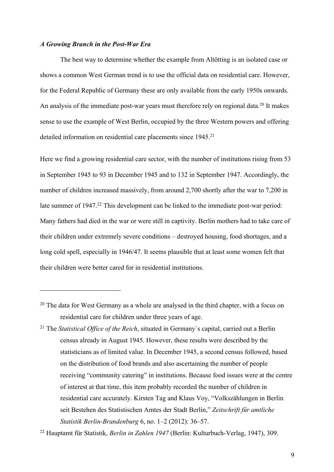#### *A Growing Branch in the Post-War Era*

The best way to determine whether the example from Altötting is an isolated case or shows a common West German trend is to use the official data on residential care. However, for the Federal Republic of Germany these are only available from the early 1950s onwards. An analysis of the immediate post-war years must therefore rely on regional data.<sup>20</sup> It makes sense to use the example of West Berlin, occupied by the three Western powers and offering detailed information on residential care placements since 1945.<sup>21</sup>

Here we find a growing residential care sector, with the number of institutions rising from 53 in September 1945 to 93 in December 1945 and to 132 in September 1947. Accordingly, the number of children increased massively, from around 2,700 shortly after the war to 7,200 in late summer of 1947.<sup>22</sup> This development can be linked to the immediate post-war period: Many fathers had died in the war or were still in captivity. Berlin mothers had to take care of their children under extremely severe conditions – destroyed housing, food shortages, and a long cold spell, especially in 1946/47. It seems plausible that at least some women felt that their children were better cared for in residential institutions.

<sup>&</sup>lt;sup>20</sup> The data for West Germany as a whole are analysed in the third chapter, with a focus on residential care for children under three years of age.

<sup>21</sup> The *Statistical Office of the Reich*, situated in Germany`s capital, carried out a Berlin census already in August 1945. However, these results were described by the statisticians as of limited value. In December 1945, a second census followed, based on the distribution of food brands and also ascertaining the number of people receiving "community catering" in institutions. Because food issues were at the centre of interest at that time, this item probably recorded the number of children in residential care accurately. Kirsten Tag and Klaus Voy, "Volkszählungen in Berlin seit Bestehen des Statistischen Amtes der Stadt Berlin," *Zeitschrift für amtliche Statistik Berlin-Brandenburg* 6, no. 1–2 (2012): 36–57.

<sup>22</sup> Hauptamt für Statistik, *Berlin in Zahlen 1947* (Berlin: Kulturbuch-Verlag, 1947), 309.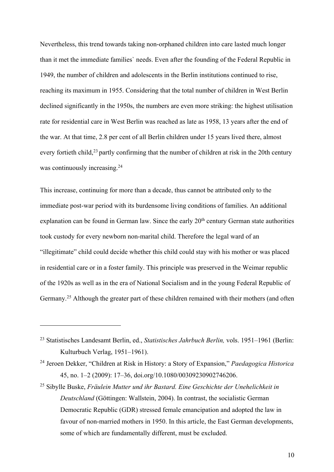Nevertheless, this trend towards taking non-orphaned children into care lasted much longer than it met the immediate families` needs. Even after the founding of the Federal Republic in 1949, the number of children and adolescents in the Berlin institutions continued to rise, reaching its maximum in 1955. Considering that the total number of children in West Berlin declined significantly in the 1950s, the numbers are even more striking: the highest utilisation rate for residential care in West Berlin was reached as late as 1958, 13 years after the end of the war. At that time, 2.8 per cent of all Berlin children under 15 years lived there, almost every fortieth child,<sup>23</sup> partly confirming that the number of children at risk in the 20th century was continuously increasing.<sup>24</sup>

This increase, continuing for more than a decade, thus cannot be attributed only to the immediate post-war period with its burdensome living conditions of families. An additional explanation can be found in German law. Since the early 20<sup>th</sup> century German state authorities took custody for every newborn non-marital child. Therefore the legal ward of an "illegitimate" child could decide whether this child could stay with his mother or was placed in residential care or in a foster family. This principle was preserved in the Weimar republic of the 1920s as well as in the era of National Socialism and in the young Federal Republic of Germany.<sup>25</sup> Although the greater part of these children remained with their mothers (and often

<sup>23</sup> Statistisches Landesamt Berlin, ed., *Statistisches Jahrbuch Berlin,* vols. 1951–1961 (Berlin: Kulturbuch Verlag, 1951–1961).

<sup>24</sup> Jeroen Dekker, "Children at Risk in History: a Story of Expansion," *Paedagogica Historica* 45, no. 1–2 (2009): 17–36, doi.org/10.1080/00309230902746206.

<sup>25</sup> Sibylle Buske, *Fräulein Mutter und ihr Bastard. Eine Geschichte der Unehelichkeit in Deutschland* (Göttingen: Wallstein, 2004). In contrast, the socialistic German Democratic Republic (GDR) stressed female emancipation and adopted the law in favour of non-married mothers in 1950. In this article, the East German developments, some of which are fundamentally different, must be excluded.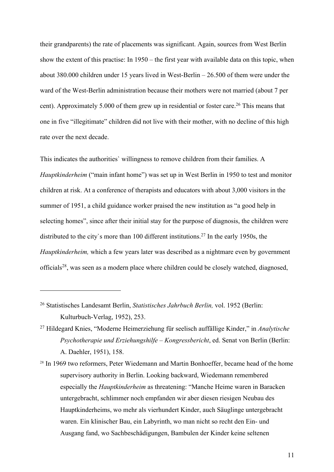their grandparents) the rate of placements was significant. Again, sources from West Berlin show the extent of this practise: In 1950 – the first year with available data on this topic, when about 380.000 children under 15 years lived in West-Berlin – 26.500 of them were under the ward of the West-Berlin administration because their mothers were not married (about 7 per cent). Approximately 5.000 of them grew up in residential or foster care. <sup>26</sup> This means that one in five "illegitimate" children did not live with their mother, with no decline of this high rate over the next decade.

This indicates the authorities` willingness to remove children from their families. A *Hauptkinderheim* ("main infant home") was set up in West Berlin in 1950 to test and monitor children at risk. At a conference of therapists and educators with about 3,000 visitors in the summer of 1951, a child guidance worker praised the new institution as "a good help in selecting homes", since after their initial stay for the purpose of diagnosis, the children were distributed to the city's more than 100 different institutions.<sup>27</sup> In the early 1950s, the *Hauptkinderheim,* which a few years later was described as a nightmare even by government officials<sup>28</sup>, was seen as a modern place where children could be closely watched, diagnosed,

<sup>27</sup> Hildegard Knies, "Moderne Heimerziehung für seelisch auffällige Kinder," in *Analytische Psychotherapie und Erziehungshilfe – Kongressbericht*, ed. Senat von Berlin (Berlin: A. Daehler, 1951), 158.

<sup>28</sup> In 1969 two reformers, Peter Wiedemann and Martin Bonhoeffer, became head of the home supervisory authority in Berlin. Looking backward, Wiedemann remembered especially the *Hauptkinderheim* as threatening: "Manche Heime waren in Baracken untergebracht, schlimmer noch empfanden wir aber diesen riesigen Neubau des Hauptkinderheims, wo mehr als vierhundert Kinder, auch Säuglinge untergebracht waren. Ein klinischer Bau, ein Labyrinth, wo man nicht so recht den Ein- und Ausgang fand, wo Sachbeschädigungen, Bambulen der Kinder keine seltenen

<sup>26</sup> Statistisches Landesamt Berlin, *Statistisches Jahrbuch Berlin,* vol. 1952 (Berlin: Kulturbuch-Verlag, 1952), 253.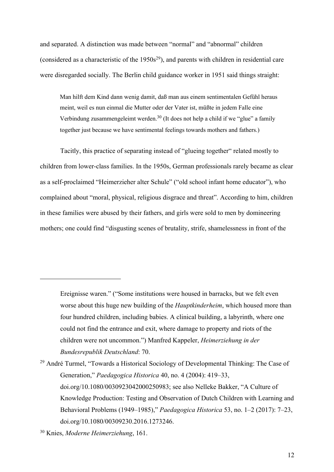and separated. A distinction was made between "normal" and "abnormal" children (considered as a characteristic of the  $1950s^{29}$ ), and parents with children in residential care were disregarded socially. The Berlin child guidance worker in 1951 said things straight:

Man hilft dem Kind dann wenig damit, daß man aus einem sentimentalen Gefühl heraus meint, weil es nun einmal die Mutter oder der Vater ist, müßte in jedem Falle eine Verbindung zusammengeleimt werden.<sup>30</sup> (It does not help a child if we "glue" a family together just because we have sentimental feelings towards mothers and fathers.)

Tacitly, this practice of separating instead of "glueing together" related mostly to children from lower-class families. In the 1950s, German professionals rarely became as clear as a self-proclaimed "Heimerzieher alter Schule" ("old school infant home educator"), who complained about "moral, physical, religious disgrace and threat". According to him, children in these families were abused by their fathers, and girls were sold to men by domineering mothers; one could find "disgusting scenes of brutality, strife, shamelessness in front of the

Ereignisse waren." ("Some institutions were housed in barracks, but we felt even worse about this huge new building of the *Hauptkinderheim*, which housed more than four hundred children, including babies. A clinical building, a labyrinth, where one could not find the entrance and exit, where damage to property and riots of the children were not uncommon.") Manfred Kappeler, *Heimerziehung in der Bundesrepublik Deutschland*: 70.

<sup>&</sup>lt;sup>29</sup> André Turmel, "Towards a Historical Sociology of Developmental Thinking: The Case of Generation," *Paedagogica Historica* 40, no. 4 (2004): 419–33, doi.org/10.1080/0030923042000250983; see also Nelleke Bakker, "A Culture of Knowledge Production: Testing and Observation of Dutch Children with Learning and Behavioral Problems (1949–1985)," *Paedagogica Historica* 53, no. 1–2 (2017): 7–23, doi.org/10.1080/00309230.2016.1273246.

<sup>30</sup> Knies, *Moderne Heimerziehung*, 161.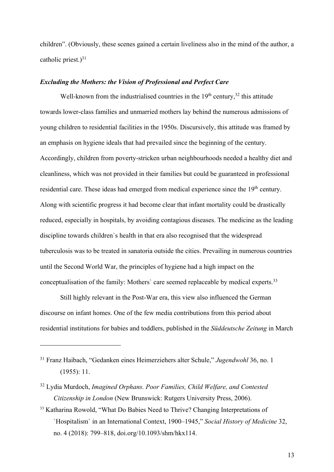children". (Obviously, these scenes gained a certain liveliness also in the mind of the author, a catholic priest.) $31$ 

## *Excluding the Mothers: the Vision of Professional and Perfect Care*

Well-known from the industrialised countries in the  $19<sup>th</sup>$  century,<sup>32</sup> this attitude towards lower-class families and unmarried mothers lay behind the numerous admissions of young children to residential facilities in the 1950s. Discursively, this attitude was framed by an emphasis on hygiene ideals that had prevailed since the beginning of the century. Accordingly, children from poverty-stricken urban neighbourhoods needed a healthy diet and cleanliness, which was not provided in their families but could be guaranteed in professional residential care. These ideas had emerged from medical experience since the 19<sup>th</sup> century. Along with scientific progress it had become clear that infant mortality could be drastically reduced, especially in hospitals, by avoiding contagious diseases. The medicine as the leading discipline towards children`s health in that era also recognised that the widespread tuberculosis was to be treated in sanatoria outside the cities. Prevailing in numerous countries until the Second World War, the principles of hygiene had a high impact on the conceptualisation of the family: Mothers' care seemed replaceable by medical experts.<sup>33</sup>

Still highly relevant in the Post-War era, this view also influenced the German discourse on infant homes. One of the few media contributions from this period about residential institutions for babies and toddlers, published in the *Süddeutsche Zeitung* in March

<sup>33</sup> Katharina Rowold, "What Do Babies Need to Thrive? Changing Interpretations of `Hospitalism` in an International Context, 1900–1945," *Social History of Medicine* 32, no. 4 (2018): 799–818, doi.org/10.1093/shm/hkx114.

<sup>31</sup> Franz Haibach, "Gedanken eines Heimerziehers alter Schule," *Jugendwohl* 36, no. 1 (1955): 11.

<sup>32</sup> Lydia Murdoch, *Imagined Orphans. Poor Families, Child Welfare, and Contested Citizenship in London* (New Brunswick: Rutgers University Press, 2006).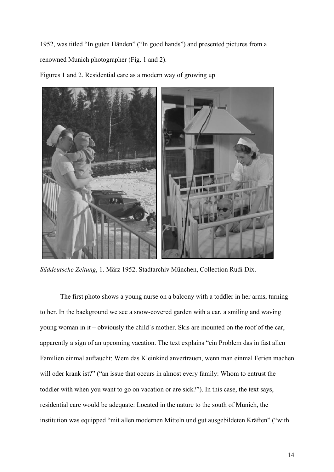1952, was titled "In guten Händen" ("In good hands") and presented pictures from a renowned Munich photographer (Fig. 1 and 2).



Figures 1 and 2. Residential care as a modern way of growing up

*Süddeutsche Zeitung*, 1. März 1952. Stadtarchiv München, Collection Rudi Dix.

The first photo shows a young nurse on a balcony with a toddler in her arms, turning to her. In the background we see a snow-covered garden with a car, a smiling and waving young woman in it – obviously the child`s mother. Skis are mounted on the roof of the car, apparently a sign of an upcoming vacation. The text explains "ein Problem das in fast allen Familien einmal auftaucht: Wem das Kleinkind anvertrauen, wenn man einmal Ferien machen will oder krank ist?" ("an issue that occurs in almost every family: Whom to entrust the toddler with when you want to go on vacation or are sick?"). In this case, the text says, residential care would be adequate: Located in the nature to the south of Munich, the institution was equipped "mit allen modernen Mitteln und gut ausgebildeten Kräften" ("with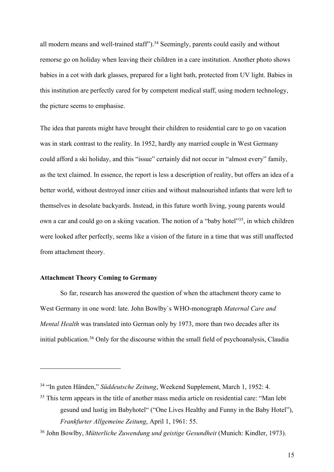all modern means and well-trained staff").<sup>34</sup> Seemingly, parents could easily and without remorse go on holiday when leaving their children in a care institution. Another photo shows babies in a cot with dark glasses, prepared for a light bath, protected from UV light. Babies in this institution are perfectly cared for by competent medical staff, using modern technology, the picture seems to emphasise.

The idea that parents might have brought their children to residential care to go on vacation was in stark contrast to the reality. In 1952, hardly any married couple in West Germany could afford a ski holiday, and this "issue" certainly did not occur in "almost every" family, as the text claimed. In essence, the report is less a description of reality, but offers an idea of a better world, without destroyed inner cities and without malnourished infants that were left to themselves in desolate backyards. Instead, in this future worth living, young parents would own a car and could go on a skiing vacation. The notion of a "baby hotel"<sup>35</sup>, in which children were looked after perfectly, seems like a vision of the future in a time that was still unaffected from attachment theory.

# **Attachment Theory Coming to Germany**

So far, research has answered the question of when the attachment theory came to West Germany in one word: late. John Bowlby`s WHO-monograph *Maternal Care and Mental Health* was translated into German only by 1973, more than two decades after its initial publication.36 Only for the discourse within the small field of psychoanalysis, Claudia

<sup>34</sup> "In guten Händen," *Süddeutsche Zeitung*, Weekend Supplement, March 1, 1952: 4.

<sup>&</sup>lt;sup>35</sup> This term appears in the title of another mass media article on residential care: "Man lebt gesund und lustig im Babyhotel" ("One Lives Healthy and Funny in the Baby Hotel"), *Frankfurter Allgemeine Zeitung*, April 1, 1961: 55.

<sup>36</sup> John Bowlby, *Mütterliche Zuwendung und geistige Gesundheit* (Munich: Kindler, 1973).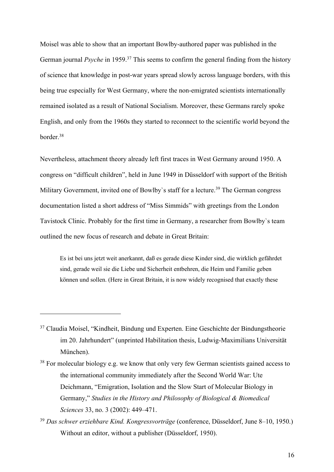Moisel was able to show that an important Bowlby-authored paper was published in the German journal *Psyche* in 1959.<sup>37</sup> This seems to confirm the general finding from the history of science that knowledge in post-war years spread slowly across language borders, with this being true especially for West Germany, where the non-emigrated scientists internationally remained isolated as a result of National Socialism. Moreover, these Germans rarely spoke English, and only from the 1960s they started to reconnect to the scientific world beyond the border.38

Nevertheless, attachment theory already left first traces in West Germany around 1950. A congress on "difficult children", held in June 1949 in Düsseldorf with support of the British Military Government, invited one of Bowlby's staff for a lecture.<sup>39</sup> The German congress documentation listed a short address of "Miss Simmids" with greetings from the London Tavistock Clinic. Probably for the first time in Germany, a researcher from Bowlby`s team outlined the new focus of research and debate in Great Britain:

Es ist bei uns jetzt weit anerkannt, daß es gerade diese Kinder sind, die wirklich gefährdet sind, gerade weil sie die Liebe und Sicherheit entbehren, die Heim und Familie geben können und sollen. (Here in Great Britain, it is now widely recognised that exactly these

<sup>&</sup>lt;sup>37</sup> Claudia Moisel, "Kindheit, Bindung und Experten. Eine Geschichte der Bindungstheorie im 20. Jahrhundert" (unprinted Habilitation thesis, Ludwig-Maximilians Universität München).

<sup>&</sup>lt;sup>38</sup> For molecular biology e.g. we know that only very few German scientists gained access to the international community immediately after the Second World War: Ute Deichmann, "Emigration, Isolation and the Slow Start of Molecular Biology in Germany," *Studies in the History and Philosophy of Biological & Biomedical Sciences* 33, no. 3 (2002): 449–471.

<sup>39</sup> *Das schwer erziehbare Kind. Kongressvorträge* (conference, Düsseldorf, June 8–10, 1950.) Without an editor, without a publisher (Düsseldorf, 1950).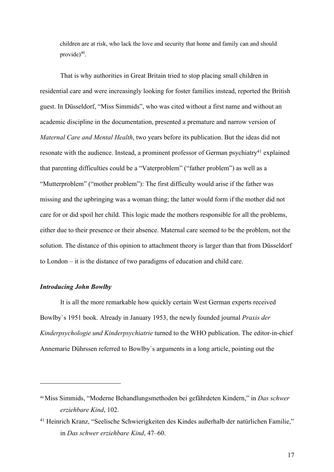children are at risk, who lack the love and security that home and family can and should provide) 40.

That is why authorities in Great Britain tried to stop placing small children in residential care and were increasingly looking for foster families instead, reported the British guest. In Düsseldorf, "Miss Simmids", who was cited without a first name and without an academic discipline in the documentation, presented a premature and narrow version of *Maternal Care and Mental Health*, two years before its publication. But the ideas did not resonate with the audience. Instead, a prominent professor of German psychiatry<sup>41</sup> explained that parenting difficulties could be a "Vaterproblem" ("father problem") as well as a "Mutterproblem" ("mother problem"): The first difficulty would arise if the father was missing and the upbringing was a woman thing; the latter would form if the mother did not care for or did spoil her child. This logic made the mothers responsible for all the problems, either due to their presence or their absence. Maternal care seemed to be the problem, not the solution. The distance of this opinion to attachment theory is larger than that from Düsseldorf to London – it is the distance of two paradigms of education and child care.

## *Introducing John Bowlby*

It is all the more remarkable how quickly certain West German experts received Bowlby`s 1951 book. Already in January 1953, the newly founded journal *Praxis der Kinderpsychologie und Kinderpsychiatrie* turned to the WHO publication. The editor-in-chief Annemarie Dührssen referred to Bowlby`s arguments in a long article, pointing out the

<sup>40</sup>Miss Simmids, "Moderne Behandlungsmethoden bei gefährdeten Kindern," in *Das schwer erziehbare Kind*, 102.

<sup>41</sup> Heinrich Kranz, "Seelische Schwierigkeiten des Kindes außerhalb der natürlichen Familie," in *Das schwer erziehbare Kind*, 47–60.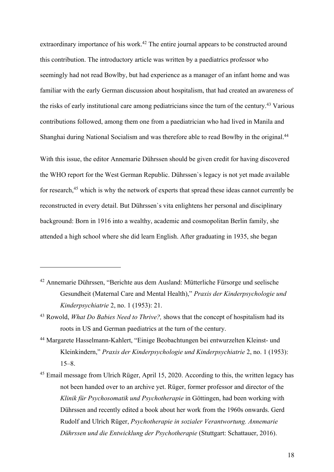extraordinary importance of his work.<sup>42</sup> The entire journal appears to be constructed around this contribution. The introductory article was written by a paediatrics professor who seemingly had not read Bowlby, but had experience as a manager of an infant home and was familiar with the early German discussion about hospitalism, that had created an awareness of the risks of early institutional care among pediatricians since the turn of the century.<sup>43</sup> Various contributions followed, among them one from a paediatrician who had lived in Manila and Shanghai during National Socialism and was therefore able to read Bowlby in the original.<sup>44</sup>

With this issue, the editor Annemarie Dührssen should be given credit for having discovered the WHO report for the West German Republic. Dührssen`s legacy is not yet made available for research, <sup>45</sup> which is why the network of experts that spread these ideas cannot currently be reconstructed in every detail. But Dührssen`s vita enlightens her personal and disciplinary background: Born in 1916 into a wealthy, academic and cosmopolitan Berlin family, she attended a high school where she did learn English. After graduating in 1935, she began

<sup>42</sup> Annemarie Dührssen, "Berichte aus dem Ausland: Mütterliche Fürsorge und seelische Gesundheit (Maternal Care and Mental Health)," *Praxis der Kinderpsychologie und Kinderpsychiatrie* 2, no. 1 (1953): 21.

- <sup>44</sup> Margarete Hasselmann-Kahlert, "Einige Beobachtungen bei entwurzelten Kleinst- und Kleinkindern," *Praxis der Kinderpsychologie und Kinderpsychiatrie* 2, no. 1 (1953): 15–8.
- <sup>45</sup> Email message from Ulrich Rüger, April 15, 2020. According to this, the written legacy has not been handed over to an archive yet. Rüger, former professor and director of the *Klinik für Psychosomatik und Psychotherapie* in Göttingen, had been working with Dührssen and recently edited a book about her work from the 1960s onwards. Gerd Rudolf and Ulrich Rüger, *Psychotherapie in sozialer Verantwortung. Annemarie Dührssen und die Entwicklung der Psychotherapie* (Stuttgart: Schattauer, 2016).

<sup>43</sup> Rowold, *What Do Babies Need to Thrive?,* shows that the concept of hospitalism had its roots in US and German paediatrics at the turn of the century.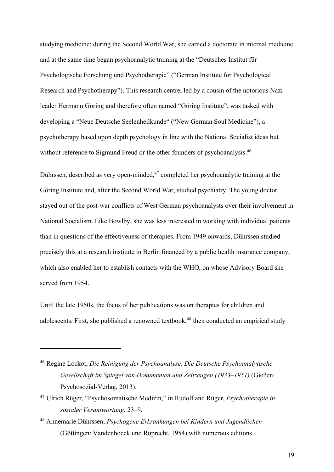studying medicine; during the Second World War, she earned a doctorate in internal medicine and at the same time began psychoanalytic training at the "Deutsches Institut für Psychologische Forschung und Psychotherapie" ("German Institute for Psychological Research and Psychotherapy"). This research centre, led by a cousin of the notorious Nazi leader Hermann Göring and therefore often named "Göring Institute", was tasked with developing a "Neue Deutsche Seelenheilkunde" ("New German Soul Medicine"), a psychotherapy based upon depth psychology in line with the National Socialist ideas but without reference to Sigmund Freud or the other founders of psychoanalysis.<sup>46</sup>

Dührssen, described as very open-minded,<sup>47</sup> completed her psychoanalytic training at the Göring Institute and, after the Second World War, studied psychiatry. The young doctor stayed out of the post-war conflicts of West German psychoanalysts over their involvement in National Socialism. Like Bowlby, she was less interested in working with individual patients than in questions of the effectiveness of therapies. From 1949 onwards, Dührssen studied precisely this at a research institute in Berlin financed by a public health insurance company, which also enabled her to establish contacts with the WHO, on whose Advisory Board she served from 1954.

Until the late 1950s, the focus of her publications was on therapies for children and adolescents. First, she published a renowned textbook,<sup>48</sup> then conducted an empirical study

<sup>46</sup> Regine Lockot, *Die Reinigung der Psychoanalyse. Die Deutsche Psychoanalytische Gesellschaft im Spiegel von Dokumenten und Zeitzeugen (1933–1951)* (Gießen: Psychosozial-Verlag, 2013).

<sup>47</sup> Ulrich Rüger, "Psychosomatische Medizin," in Rudolf and Rüger, *Psychotherapie in sozialer Verantwortung*, 23–9.

<sup>48</sup> Annemarie Dührssen, *Psychogene Erkrankungen bei Kindern und Jugendlichen* (Göttingen: Vandenhoeck und Ruprecht, 1954) with numerous editions.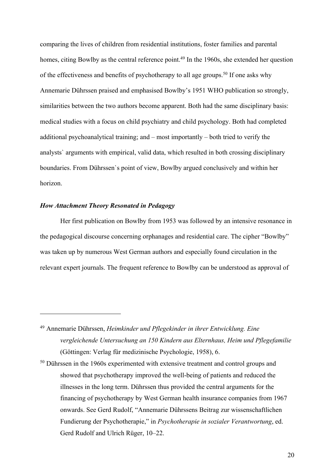comparing the lives of children from residential institutions, foster families and parental homes, citing Bowlby as the central reference point.<sup>49</sup> In the 1960s, she extended her question of the effectiveness and benefits of psychotherapy to all age groups.<sup>50</sup> If one asks why Annemarie Dührssen praised and emphasised Bowlby's 1951 WHO publication so strongly, similarities between the two authors become apparent. Both had the same disciplinary basis: medical studies with a focus on child psychiatry and child psychology. Both had completed additional psychoanalytical training; and – most importantly – both tried to verify the analysts` arguments with empirical, valid data, which resulted in both crossing disciplinary boundaries. From Dührssen`s point of view, Bowlby argued conclusively and within her horizon.

# *How Attachment Theory Resonated in Pedagogy*

Her first publication on Bowlby from 1953 was followed by an intensive resonance in the pedagogical discourse concerning orphanages and residential care. The cipher "Bowlby" was taken up by numerous West German authors and especially found circulation in the relevant expert journals. The frequent reference to Bowlby can be understood as approval of

<sup>49</sup> Annemarie Dührssen, *Heimkinder und Pflegekinder in ihrer Entwicklung. Eine vergleichende Untersuchung an 150 Kindern aus Elternhaus, Heim und Pflegefamilie* (Göttingen: Verlag für medizinische Psychologie, 1958), 6.

<sup>&</sup>lt;sup>50</sup> Dührssen in the 1960s experimented with extensive treatment and control groups and showed that psychotherapy improved the well-being of patients and reduced the illnesses in the long term. Dührssen thus provided the central arguments for the financing of psychotherapy by West German health insurance companies from 1967 onwards. See Gerd Rudolf, "Annemarie Dührssens Beitrag zur wissenschaftlichen Fundierung der Psychotherapie," in *Psychotherapie in sozialer Verantwortung*, ed. Gerd Rudolf and Ulrich Rüger, 10–22.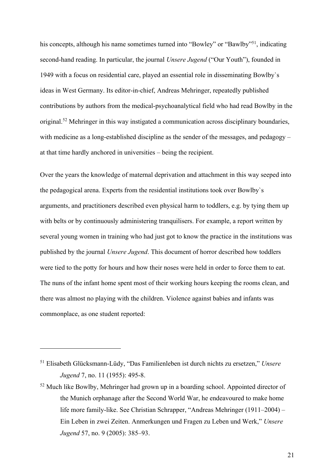his concepts, although his name sometimes turned into "Bowley" or "Bawlby"<sup>51</sup>, indicating second-hand reading. In particular, the journal *Unsere Jugend* ("Our Youth"), founded in 1949 with a focus on residential care, played an essential role in disseminating Bowlby`s ideas in West Germany. Its editor-in-chief, Andreas Mehringer, repeatedly published contributions by authors from the medical-psychoanalytical field who had read Bowlby in the original.<sup>52</sup> Mehringer in this way instigated a communication across disciplinary boundaries, with medicine as a long-established discipline as the sender of the messages, and pedagogy – at that time hardly anchored in universities – being the recipient.

Over the years the knowledge of maternal deprivation and attachment in this way seeped into the pedagogical arena. Experts from the residential institutions took over Bowlby`s arguments, and practitioners described even physical harm to toddlers, e.g. by tying them up with belts or by continuously administering tranquilisers. For example, a report written by several young women in training who had just got to know the practice in the institutions was published by the journal *Unsere Jugend*. This document of horror described how toddlers were tied to the potty for hours and how their noses were held in order to force them to eat. The nuns of the infant home spent most of their working hours keeping the rooms clean, and there was almost no playing with the children. Violence against babies and infants was commonplace, as one student reported:

<sup>51</sup> Elisabeth Glücksmann-Lüdy, "Das Familienleben ist durch nichts zu ersetzen," *Unsere Jugend* 7, no. 11 (1955): 495-8.

<sup>&</sup>lt;sup>52</sup> Much like Bowlby, Mehringer had grown up in a boarding school. Appointed director of the Munich orphanage after the Second World War, he endeavoured to make home life more family-like. See Christian Schrapper, "Andreas Mehringer (1911–2004) – Ein Leben in zwei Zeiten. Anmerkungen und Fragen zu Leben und Werk," *Unsere Jugend* 57, no. 9 (2005): 385–93.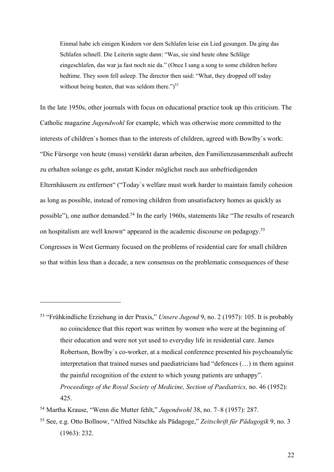Einmal habe ich einigen Kindern vor dem Schlafen leise ein Lied gesungen. Da ging das Schlafen schnell. Die Leiterin sagte dann: "Was, sie sind heute ohne Schläge eingeschlafen, das war ja fast noch nie da." (Once I sang a song to some children before bedtime. They soon fell asleep. The director then said: "What, they dropped off today without being beaten, that was seldom there." $5<sup>53</sup>$ 

In the late 1950s, other journals with focus on educational practice took up this criticism. The Catholic magazine *Jugendwohl* for example, which was otherwise more committed to the interests of children`s homes than to the interests of children, agreed with Bowlby`s work: "Die Fürsorge von heute (muss) verstärkt daran arbeiten, den Familienzusammenhalt aufrecht zu erhalten solange es geht, anstatt Kinder möglichst rasch aus unbefriedigenden Elternhäusern zu entfernen" ("Today`s welfare must work harder to maintain family cohesion as long as possible, instead of removing children from unsatisfactory homes as quickly as possible"), one author demanded.<sup>54</sup> In the early 1960s, statements like "The results of research on hospitalism are well known" appeared in the academic discourse on pedagogy.55 Congresses in West Germany focused on the problems of residential care for small children so that within less than a decade, a new consensus on the problematic consequences of these

<sup>53</sup> "Frühkindliche Erziehung in der Praxis," *Unsere Jugend* 9, no. 2 (1957): 105. It is probably no coincidence that this report was written by women who were at the beginning of their education and were not yet used to everyday life in residential care. James Robertson, Bowlby`s co-worker, at a medical conference presented his psychoanalytic interpretation that trained nurses und paediatricians had "defences (…) in them against the painful recognition of the extent to which young patients are unhappy". *Proceedings of the Royal Society of Medicine, Section of Paediatrics,* no. 46 (1952): 425.

<sup>54</sup> Martha Krause, "Wenn die Mutter fehlt," *Jugendwohl* 38, no. 7–8 (1957): 287.

<sup>55</sup> See, e.g. Otto Bollnow, "Alfred Nitschke als Pädagoge," *Zeitschrift für Pädagogik* 9, no. 3 (1963): 232.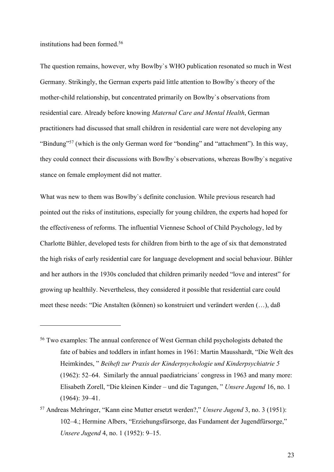institutions had been formed.56

The question remains, however, why Bowlby`s WHO publication resonated so much in West Germany. Strikingly, the German experts paid little attention to Bowlby`s theory of the mother-child relationship, but concentrated primarily on Bowlby`s observations from residential care. Already before knowing *Maternal Care and Mental Health*, German practitioners had discussed that small children in residential care were not developing any "Bindung"<sup>57</sup> (which is the only German word for "bonding" and "attachment"). In this way, they could connect their discussions with Bowlby`s observations, whereas Bowlby`s negative stance on female employment did not matter.

What was new to them was Bowlby`s definite conclusion. While previous research had pointed out the risks of institutions, especially for young children, the experts had hoped for the effectiveness of reforms. The influential Viennese School of Child Psychology, led by Charlotte Bühler, developed tests for children from birth to the age of six that demonstrated the high risks of early residential care for language development and social behaviour. Bühler and her authors in the 1930s concluded that children primarily needed "love and interest" for growing up healthily. Nevertheless, they considered it possible that residential care could meet these needs: "Die Anstalten (können) so konstruiert und verändert werden (…), daß

<sup>56</sup> Two examples: The annual conference of West German child psychologists debated the fate of babies and toddlers in infant homes in 1961: Martin Mausshardt, "Die Welt des Heimkindes, " *Beiheft zur Praxis der Kinderpsychologie und Kinderpsychiatrie 5* (1962): 52–64. Similarly the annual paediatricians´ congress in 1963 and many more: Elisabeth Zorell, "Die kleinen Kinder – und die Tagungen, " *Unsere Jugend* 16, no. 1 (1964): 39–41.

<sup>57</sup> Andreas Mehringer, "Kann eine Mutter ersetzt werden?," *Unsere Jugend* 3, no. 3 (1951): 102–4.; Hermine Albers, "Erziehungsfürsorge, das Fundament der Jugendfürsorge," *Unsere Jugend* 4, no. 1 (1952): 9–15.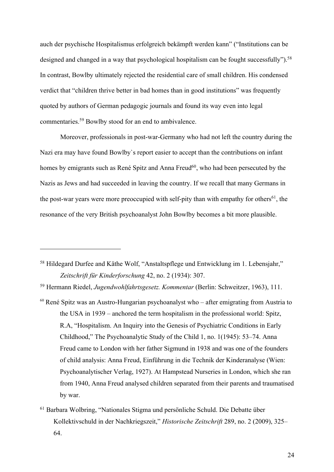auch der psychische Hospitalismus erfolgreich bekämpft werden kann" ("Institutions can be designed and changed in a way that psychological hospitalism can be fought successfully").<sup>58</sup> In contrast, Bowlby ultimately rejected the residential care of small children. His condensed verdict that "children thrive better in bad homes than in good institutions" was frequently quoted by authors of German pedagogic journals and found its way even into legal commentaries. <sup>59</sup> Bowlby stood for an end to ambivalence.

Moreover, professionals in post-war-Germany who had not left the country during the Nazi era may have found Bowlby`s report easier to accept than the contributions on infant homes by emigrants such as René Spitz and Anna Freud<sup>60</sup>, who had been persecuted by the Nazis as Jews and had succeeded in leaving the country. If we recall that many Germans in the post-war years were more preoccupied with self-pity than with empathy for others<sup>61</sup>, the resonance of the very British psychoanalyst John Bowlby becomes a bit more plausible.

<sup>&</sup>lt;sup>58</sup> Hildegard Durfee and Käthe Wolf, "Anstaltspflege und Entwicklung im 1. Lebensjahr," *Zeitschrift für Kinderforschung* 42, no. 2 (1934): 307.

<sup>59</sup> Hermann Riedel, *Jugendwohlfahrtsgesetz. Kommentar* (Berlin: Schweitzer, 1963), 111.

 $60$  René Spitz was an Austro-Hungarian psychoanalyst who – after emigrating from Austria to the USA in 1939 – anchored the term hospitalism in the professional world: Spitz, R.A, "Hospitalism. An Inquiry into the Genesis of Psychiatric Conditions in Early Childhood," The Psychoanalytic Study of the Child 1, no. 1(1945): 53–74. Anna Freud came to London with her father Sigmund in 1938 and was one of the founders of child analysis: Anna Freud, Einführung in die Technik der Kinderanalyse (Wien: Psychoanalytischer Verlag, 1927). At Hampstead Nurseries in London, which she ran from 1940, Anna Freud analysed children separated from their parents and traumatised by war.

<sup>61</sup> Barbara Wolbring, "Nationales Stigma und persönliche Schuld. Die Debatte über Kollektivschuld in der Nachkriegszeit," *Historische Zeitschrift* 289, no. 2 (2009), 325– 64.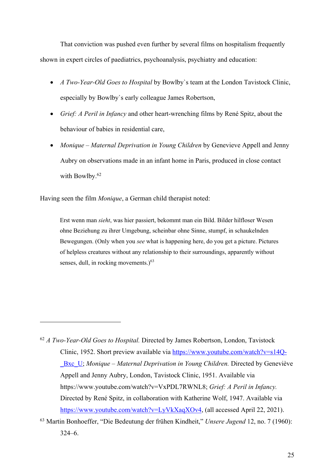That conviction was pushed even further by several films on hospitalism frequently shown in expert circles of paediatrics, psychoanalysis, psychiatry and education:

- *A Two-Year-Old Goes to Hospital* by Bowlby`s team at the London Tavistock Clinic, especially by Bowlby`s early colleague James Robertson,
- *Grief: A Peril in Infancy* and other heart-wrenching films by René Spitz, about the behaviour of babies in residential care,
- *Monique – Maternal Deprivation in Young Children* by Genevieve Appell and Jenny Aubry on observations made in an infant home in Paris, produced in close contact with Bowlby. 62

Having seen the film *Monique*, a German child therapist noted:

Erst wenn man *sieht*, was hier passiert, bekommt man ein Bild. Bilder hilfloser Wesen ohne Beziehung zu ihrer Umgebung, scheinbar ohne Sinne, stumpf, in schaukelnden Bewegungen. (Only when you *see* what is happening here, do you get a picture. Pictures of helpless creatures without any relationship to their surroundings, apparently without senses, dull, in rocking movements.)<sup>63</sup>

<sup>62</sup> *A Two-Year-Old Goes to Hospital.* Directed by James Robertson, London, Tavistock Clinic, 1952. Short preview available via https://www.youtube.com/watch?v=s14Q- \_Bxc\_U; *Monique – Maternal Deprivation in Young Children.* Directed by Geneviève Appell and Jenny Aubry, London, Tavistock Clinic, 1951. Available via https://www.youtube.com/watch?v=VxPDL7RWNL8; *Grief: A Peril in Infancy.* Directed by René Spitz, in collaboration with Katherine Wolf, 1947. Available via https://www.youtube.com/watch?v=LyVkXaqXOv4, (all accessed April 22, 2021).

<sup>63</sup> Martin Bonhoeffer, "Die Bedeutung der frühen Kindheit," *Unsere Jugend* 12, no. 7 (1960): 324–6.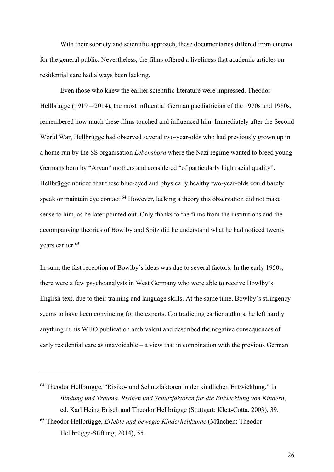With their sobriety and scientific approach, these documentaries differed from cinema for the general public. Nevertheless, the films offered a liveliness that academic articles on residential care had always been lacking.

Even those who knew the earlier scientific literature were impressed. Theodor Hellbrügge (1919 – 2014), the most influential German paediatrician of the 1970s and 1980s, remembered how much these films touched and influenced him. Immediately after the Second World War, Hellbrügge had observed several two-year-olds who had previously grown up in a home run by the SS organisation *Lebensborn* where the Nazi regime wanted to breed young Germans born by "Aryan" mothers and considered "of particularly high racial quality". Hellbrügge noticed that these blue-eyed and physically healthy two-year-olds could barely speak or maintain eye contact.<sup>64</sup> However, lacking a theory this observation did not make sense to him, as he later pointed out. Only thanks to the films from the institutions and the accompanying theories of Bowlby and Spitz did he understand what he had noticed twenty years earlier.65

In sum, the fast reception of Bowlby`s ideas was due to several factors. In the early 1950s, there were a few psychoanalysts in West Germany who were able to receive Bowlby`s English text, due to their training and language skills. At the same time, Bowlby`s stringency seems to have been convincing for the experts. Contradicting earlier authors, he left hardly anything in his WHO publication ambivalent and described the negative consequences of early residential care as unavoidable – a view that in combination with the previous German

<sup>64</sup> Theodor Hellbrügge, "Risiko- und Schutzfaktoren in der kindlichen Entwicklung," in *Bindung und Trauma. Risiken und Schutzfaktoren für die Entwicklung von Kindern*, ed. Karl Heinz Brisch and Theodor Hellbrügge (Stuttgart: Klett-Cotta, 2003), 39.

<sup>65</sup> Theodor Hellbrügge, *Erlebte und bewegte Kinderheilkunde* (München: Theodor-Hellbrügge-Stiftung, 2014), 55.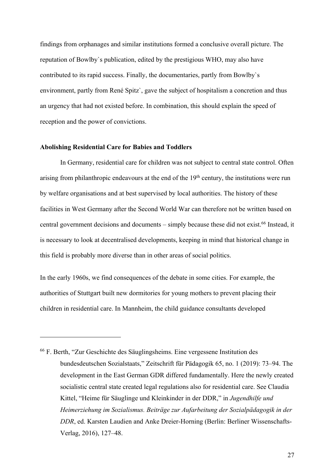findings from orphanages and similar institutions formed a conclusive overall picture. The reputation of Bowlby`s publication, edited by the prestigious WHO, may also have contributed to its rapid success. Finally, the documentaries, partly from Bowlby`s environment, partly from René Spitz`, gave the subject of hospitalism a concretion and thus an urgency that had not existed before. In combination, this should explain the speed of reception and the power of convictions.

### **Abolishing Residential Care for Babies and Toddlers**

In Germany, residential care for children was not subject to central state control. Often arising from philanthropic endeavours at the end of the  $19<sup>th</sup>$  century, the institutions were run by welfare organisations and at best supervised by local authorities. The history of these facilities in West Germany after the Second World War can therefore not be written based on central government decisions and documents – simply because these did not exist. <sup>66</sup> Instead, it is necessary to look at decentralised developments, keeping in mind that historical change in this field is probably more diverse than in other areas of social politics.

In the early 1960s, we find consequences of the debate in some cities. For example, the authorities of Stuttgart built new dormitories for young mothers to prevent placing their children in residential care. In Mannheim, the child guidance consultants developed

<sup>66</sup> F. Berth, "Zur Geschichte des Säuglingsheims. Eine vergessene Institution des bundesdeutschen Sozialstaats," Zeitschrift für Pädagogik 65, no. 1 (2019): 73–94. The development in the East German GDR differed fundamentally. Here the newly created socialistic central state created legal regulations also for residential care. See Claudia Kittel, "Heime für Säuglinge und Kleinkinder in der DDR," in *Jugendhilfe und Heimerziehung im Sozialismus. Beiträge zur Aufarbeitung der Sozialpädagogik in der DDR*, ed. Karsten Laudien and Anke Dreier-Horning (Berlin: Berliner Wissenschafts-Verlag, 2016), 127–48.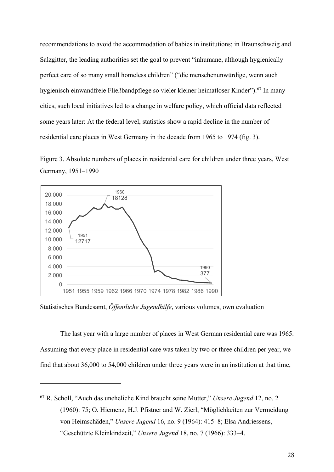recommendations to avoid the accommodation of babies in institutions; in Braunschweig and Salzgitter, the leading authorities set the goal to prevent "inhumane, although hygienically perfect care of so many small homeless children" ("die menschenunwürdige, wenn auch hygienisch einwandfreie Fließbandpflege so vieler kleiner heimatloser Kinder"). <sup>67</sup> In many cities, such local initiatives led to a change in welfare policy, which official data reflected some years later: At the federal level, statistics show a rapid decline in the number of residential care places in West Germany in the decade from 1965 to 1974 (fig. 3).





Statistisches Bundesamt, *Öffentliche Jugendhilfe*, various volumes, own evaluation

The last year with a large number of places in West German residential care was 1965. Assuming that every place in residential care was taken by two or three children per year, we find that about 36,000 to 54,000 children under three years were in an institution at that time,

<sup>67</sup> R. Scholl, "Auch das uneheliche Kind braucht seine Mutter," *Unsere Jugend* 12, no. 2 (1960): 75; O. Hiemenz, H.J. Pfistner and W. Zierl, "Möglichkeiten zur Vermeidung von Heimschäden," *Unsere Jugend* 16, no. 9 (1964): 415–8; Elsa Andriessens, "Geschützte Kleinkindzeit," *Unsere Jugend* 18, no. 7 (1966): 333–4.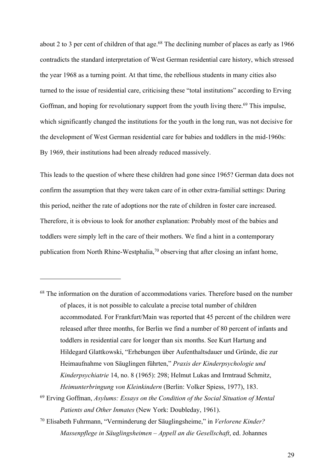about 2 to 3 per cent of children of that age.<sup>68</sup> The declining number of places as early as 1966 contradicts the standard interpretation of West German residential care history, which stressed the year 1968 as a turning point. At that time, the rebellious students in many cities also turned to the issue of residential care, criticising these "total institutions" according to Erving Goffman, and hoping for revolutionary support from the youth living there.<sup>69</sup> This impulse, which significantly changed the institutions for the youth in the long run, was not decisive for the development of West German residential care for babies and toddlers in the mid-1960s: By 1969, their institutions had been already reduced massively.

This leads to the question of where these children had gone since 1965? German data does not confirm the assumption that they were taken care of in other extra-familial settings: During this period, neither the rate of adoptions nor the rate of children in foster care increased. Therefore, it is obvious to look for another explanation: Probably most of the babies and toddlers were simply left in the care of their mothers. We find a hint in a contemporary publication from North Rhine-Westphalia,<sup>70</sup> observing that after closing an infant home,

<sup>68</sup> The information on the duration of accommodations varies. Therefore based on the number of places, it is not possible to calculate a precise total number of children accommodated. For Frankfurt/Main was reported that 45 percent of the children were released after three months, for Berlin we find a number of 80 percent of infants and toddlers in residential care for longer than six months. See Kurt Hartung and Hildegard Glattkowski, "Erhebungen über Aufenthaltsdauer und Gründe, die zur Heimaufnahme von Säuglingen führten," *Praxis der Kinderpsychologie und Kinderpsychiatrie* 14, no. 8 (1965): 298; Helmut Lukas and Irmtraud Schmitz, *Heimunterbringung von Kleinkindern* (Berlin: Volker Spiess, 1977), 183.

<sup>70</sup> Elisabeth Fuhrmann, "Verminderung der Säuglingsheime," in *Verlorene Kinder? Massenpflege in Säuglingsheimen – Appell an die Gesellschaft*, ed. Johannes

<sup>69</sup> Erving Goffman, *Asylums: Essays on the Condition of the Social Situation of Mental Patients and Other Inmates* (New York: Doubleday, 1961).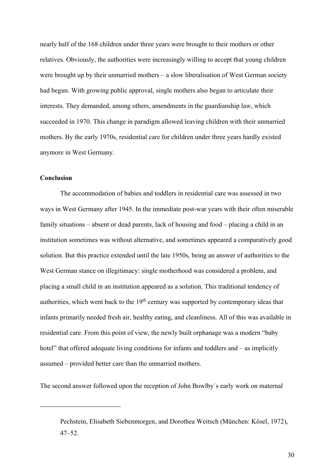nearly half of the 168 children under three years were brought to their mothers or other relatives. Obviously, the authorities were increasingly willing to accept that young children were brought up by their unmarried mothers – a slow liberalisation of West German society had begun. With growing public approval, single mothers also began to articulate their interests. They demanded, among others, amendments in the guardianship law, which succeeded in 1970. This change in paradigm allowed leaving children with their unmarried mothers. By the early 1970s, residential care for children under three years hardly existed anymore in West Germany.

## **Conclusion**

The accommodation of babies and toddlers in residential care was assessed in two ways in West Germany after 1945. In the immediate post-war years with their often miserable family situations – absent or dead parents, lack of housing and food – placing a child in an institution sometimes was without alternative, and sometimes appeared a comparatively good solution. But this practice extended until the late 1950s, being an answer of authorities to the West German stance on illegitimacy: single motherhood was considered a problem, and placing a small child in an institution appeared as a solution. This traditional tendency of authorities, which went back to the  $19<sup>th</sup>$  century was supported by contemporary ideas that infants primarily needed fresh air, healthy eating, and cleanliness. All of this was available in residential care. From this point of view, the newly built orphanage was a modern "baby hotel" that offered adequate living conditions for infants and toddlers and – as implicitly assumed – provided better care than the unmarried mothers.

The second answer followed upon the reception of John Bowlby`s early work on maternal

Pechstein, Elisabeth Siebenmorgen, and Dorothea Weitsch (München: Kösel, 1972), 47–52.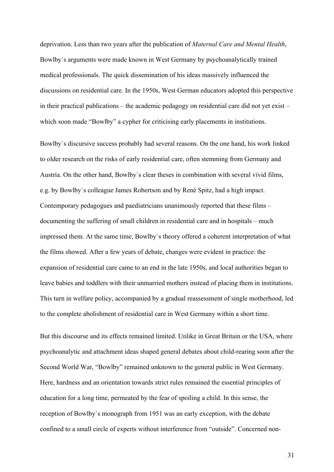deprivation. Less than two years after the publication of *Maternal Care and Mental Health*, Bowlby`s arguments were made known in West Germany by psychoanalytically trained medical professionals. The quick dissemination of his ideas massively influenced the discussions on residential care. In the 1950s, West German educators adopted this perspective in their practical publications – the academic pedagogy on residential care did not yet exist – which soon made "Bowlby" a cypher for criticising early placements in institutions.

Bowlby`s discursive success probably had several reasons. On the one hand, his work linked to older research on the risks of early residential care, often stemming from Germany and Austria. On the other hand, Bowlby`s clear theses in combination with several vivid films, e.g. by Bowlby`s colleague James Robertson and by René Spitz, had a high impact. Contemporary pedagogues and paediatricians unanimously reported that these films – documenting the suffering of small children in residential care and in hospitals – much impressed them. At the same time, Bowlby`s theory offered a coherent interpretation of what the films showed. After a few years of debate, changes were evident in practice: the expansion of residential care came to an end in the late 1950s, and local authorities began to leave babies and toddlers with their unmarried mothers instead of placing them in institutions. This turn in welfare policy, accompanied by a gradual reassessment of single motherhood, led to the complete abolishment of residential care in West Germany within a short time.

But this discourse and its effects remained limited. Unlike in Great Britain or the USA, where psychoanalytic and attachment ideas shaped general debates about child-rearing soon after the Second World War, "Bowlby" remained unknown to the general public in West Germany. Here, hardness and an orientation towards strict rules remained the essential principles of education for a long time, permeated by the fear of spoiling a child. In this sense, the reception of Bowlby`s monograph from 1951 was an early exception, with the debate confined to a small circle of experts without interference from "outside". Concerned non